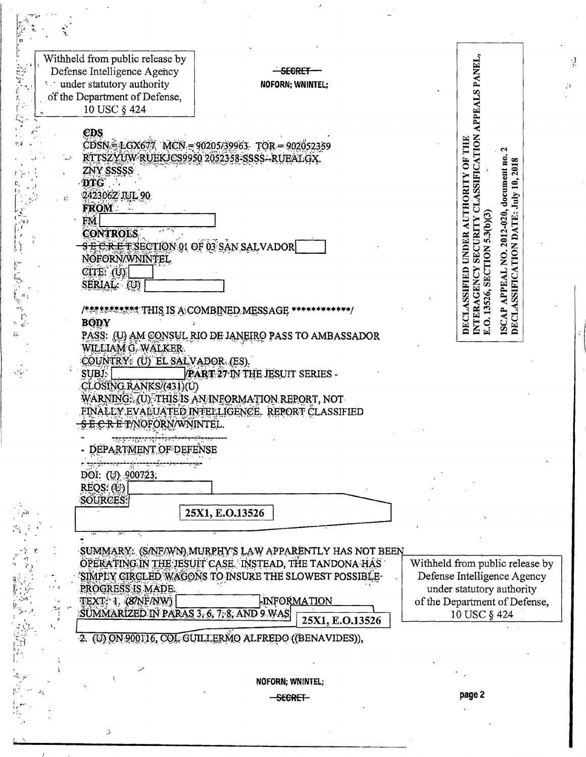|           | Withheld from public release by<br>Defense Intelligence Agency                                                                                                                                                                                       | <del>- Segrei</del>                                                                              | APPEALS PANEL,                                                               |
|-----------|------------------------------------------------------------------------------------------------------------------------------------------------------------------------------------------------------------------------------------------------------|--------------------------------------------------------------------------------------------------|------------------------------------------------------------------------------|
| ٠.        | and under statutory authority                                                                                                                                                                                                                        | NOFORN; WNINTEL;                                                                                 | A                                                                            |
|           | of the Department of Defense,                                                                                                                                                                                                                        |                                                                                                  |                                                                              |
|           | 10 USC § 424                                                                                                                                                                                                                                         |                                                                                                  |                                                                              |
|           | CDS                                                                                                                                                                                                                                                  |                                                                                                  |                                                                              |
|           |                                                                                                                                                                                                                                                      | $CDSN = LGX677$ MCN = 90205/39963 TOR = 902052359<br>RTTSZYUW RUEKJCS9950 2052358-SSSS--RUEALGX. |                                                                              |
|           | ZNY SSSSSS                                                                                                                                                                                                                                           |                                                                                                  | SSIFICATION<br>AUTHORITY OF THE<br>document no.<br>2018                      |
|           | <b>DTG</b>                                                                                                                                                                                                                                           |                                                                                                  | $\mathbf{a}$                                                                 |
|           | 242306Z JUL 90<br><b>FROM</b>                                                                                                                                                                                                                        |                                                                                                  | July                                                                         |
|           |                                                                                                                                                                                                                                                      |                                                                                                  | $5.3(b)$ $(3)$                                                               |
|           | <b>CONTROLS</b><br><b>SECRETSECTION 01 OF 03 SAN SALVADOR</b>                                                                                                                                                                                        |                                                                                                  | 2012-020,<br>SECURITY<br><b>UNDER</b>                                        |
|           | NOFORN/WNINTEL                                                                                                                                                                                                                                       |                                                                                                  |                                                                              |
|           | CITE: (U)                                                                                                                                                                                                                                            |                                                                                                  |                                                                              |
|           | SERIAL: (U)                                                                                                                                                                                                                                          |                                                                                                  | APPEAL NO.                                                                   |
|           |                                                                                                                                                                                                                                                      |                                                                                                  | DECLASSIFICATION DATE:<br>E.O. 13526, SECTION<br>DECLASSIFIED<br>INTERAGENCY |
|           | <b>BODY</b>                                                                                                                                                                                                                                          | PASS: (U) AM CONSUL RIO DE JANEIRO PASS TO AMBASSADOR                                            | <b>ISCAP</b>                                                                 |
|           | WILLIAM G. WALKER                                                                                                                                                                                                                                    |                                                                                                  |                                                                              |
| وكيزو     | COUNTRY (U) EL SALVADOR (ES)<br>SUBJ.                                                                                                                                                                                                                |                                                                                                  |                                                                              |
|           | CLOSING RANKS/(431)(U)                                                                                                                                                                                                                               | <b>PART 27 IN THE JESUIT SERIES -</b>                                                            |                                                                              |
|           |                                                                                                                                                                                                                                                      | WARNING: (U) THIS IS AN INFORMATION REPORT, NOT                                                  |                                                                              |
|           | <del>SECRET</del> /NOFORN/WNINTEL.                                                                                                                                                                                                                   | FINALLY EVALUATED INTELLIGENCE. REPORT CLASSIFIED                                                |                                                                              |
|           |                                                                                                                                                                                                                                                      |                                                                                                  |                                                                              |
|           | DEPARTMENT OF DEFENSE                                                                                                                                                                                                                                |                                                                                                  |                                                                              |
|           | yang manang-kalamang panganangan ng manangan atawan ng manangan ng manangan ng manangang manangang manangan ng<br>Mga manangang manangang manangang manangan ng manangan ng manangan ng manangan ng manangang manangang manangan<br>DOI: (U) 900723. |                                                                                                  |                                                                              |
|           | REQS: (U)<br><b>SOURCES:</b>                                                                                                                                                                                                                         |                                                                                                  |                                                                              |
|           |                                                                                                                                                                                                                                                      | 25X1, E.O.13526                                                                                  |                                                                              |
|           |                                                                                                                                                                                                                                                      |                                                                                                  |                                                                              |
|           |                                                                                                                                                                                                                                                      | SUMMARY: (SANF/WN) MURPHY'S LAW APPARENTLY HAS NOT BEEN                                          |                                                                              |
|           |                                                                                                                                                                                                                                                      | OPERATING IN THE JESUIT CASE. INSTEAD, THE TANDONA HAS                                           | Withheld from public release by                                              |
|           | PROGRESS IS MADE.                                                                                                                                                                                                                                    | SIMPLY CIRCLED WAGONS TO INSURE THE SLOWEST POSSIBLE                                             | Defense Intelligence Agency<br>under statutory authority                     |
|           | TEXT: 1, (8/NF/NW)                                                                                                                                                                                                                                   | <b>INFORMATION</b>                                                                               | of the Department of Defense,                                                |
| ېمنه<br>د | SUMMARIZED IN PARAS 3, 6, 7, 8, AND 9 WAS                                                                                                                                                                                                            | 25X1, E.O.13526                                                                                  | 10 USC § 424                                                                 |
| ٠.        |                                                                                                                                                                                                                                                      | 2. (U) ON 900116, COL GUILLERMO ALFREDO ((BENAVIDES)),                                           |                                                                              |
|           |                                                                                                                                                                                                                                                      |                                                                                                  |                                                                              |
|           |                                                                                                                                                                                                                                                      |                                                                                                  |                                                                              |
|           |                                                                                                                                                                                                                                                      | NOFORN; WNINTEL;<br>-SECRET-                                                                     | page 2                                                                       |
|           |                                                                                                                                                                                                                                                      |                                                                                                  |                                                                              |
|           | د                                                                                                                                                                                                                                                    |                                                                                                  |                                                                              |
|           |                                                                                                                                                                                                                                                      |                                                                                                  |                                                                              |

ý,

 $\frac{1}{2}$ 

 $\mathcal{F}$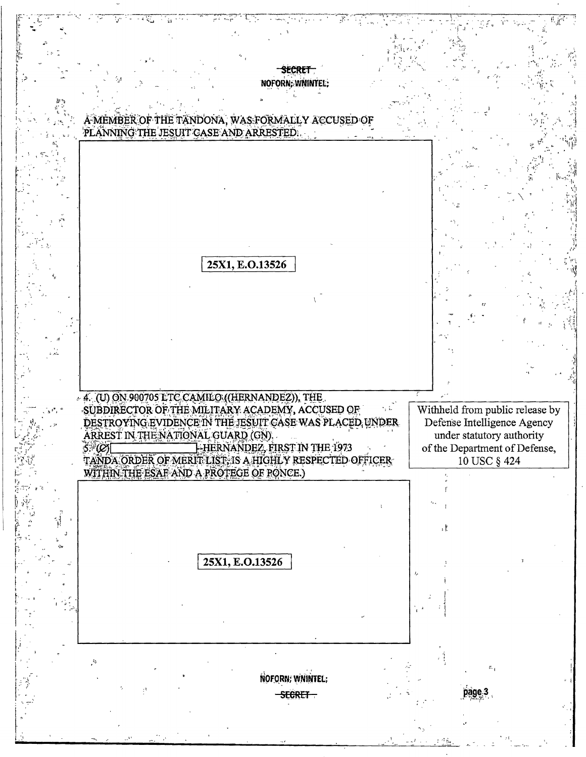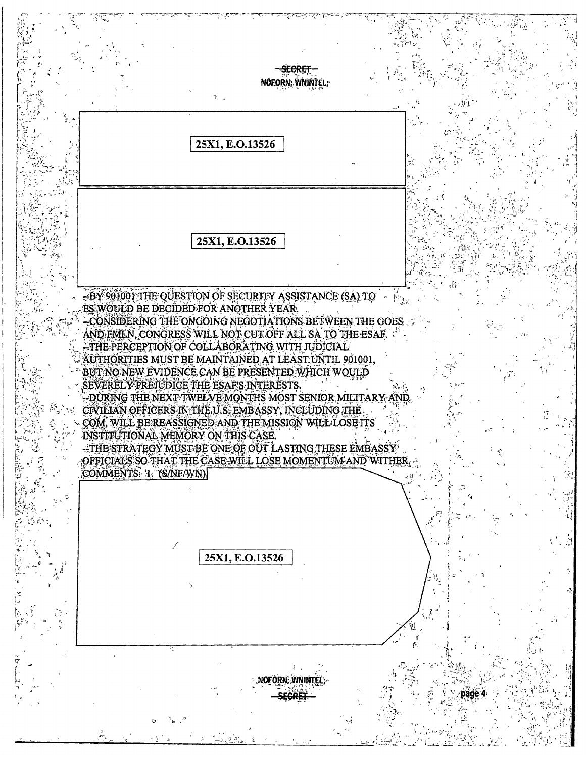<del>SECRET</del> NOFORN: WNINTEL: 25X1, E.O.13526 25X1, E.O.13526 -BY 901001 THE QUESTION OF SECURITY ASSISTANCE (SA) TO ES WOULD BE DECIDED FOR ANOTHER YEAR. -CONSIDERING THE ONGOING NEGOTIATIONS BETWEEN THE GOES. AND FMLN, CONGRESS WILL NOT CUT OFF ALL SA TO THE ESAF. THE PERCEPTION OF COLLABORATING WITH JUDICIAL AUTHORITIES MUST BE MAINTAINED AT LEAST UNTIL 901001, BUT NO NEW EVIDENCE CAN BE PRESENTED WHICH WOULD SEVERELY PREJUDICE THE ESAF'S INTERESTS. -DURING THE NEXT TWELVE MONTHS MOST SENIOR MILITARY AND CIVILIAN OFFICERS IN THE U.S. EMBASSY, INCLUDING THE COM, WILL BE REASSIGNED AND THE MISSION WILL LOSE ITS INSTITUTIONAL MEMORY ON THIS CASE. -THE STRATEGY MUST BE ONE OF OUT LASTING THESE EMBASSY OFFICIALS SO THAT THE CASE WILL LOSE MOMENTUM AND WITHER. COMMENTS: 1. (S/NF/WN) 25X1, E.O.13526 NOFORN: WNINTEL: